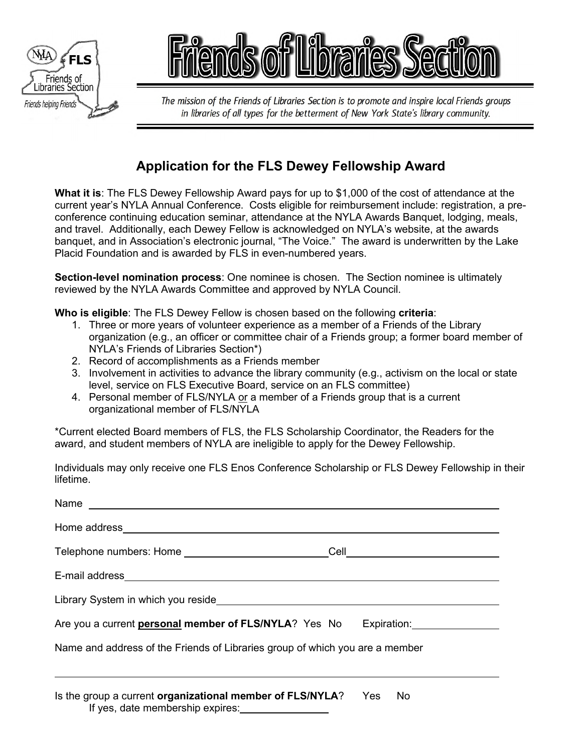



The mission of the Friends of Libraries Section is to promote and inspire local Friends groups in libraries of all types for the betterment of New York State's library community.

## **Application for the FLS Dewey Fellowship Award**

**What it is**: The FLS Dewey Fellowship Award pays for up to \$1,000 of the cost of attendance at the current year's NYLA Annual Conference. Costs eligible for reimbursement include: registration, a preconference continuing education seminar, attendance at the NYLA Awards Banquet, lodging, meals, and travel. Additionally, each Dewey Fellow is acknowledged on NYLA's website, at the awards banquet, and in Association's electronic journal, "The Voice." The award is underwritten by the Lake Placid Foundation and is awarded by FLS in even-numbered years.

**Section-level nomination process**: One nominee is chosen. The Section nominee is ultimately reviewed by the NYLA Awards Committee and approved by NYLA Council.

**Who is eligible**: The FLS Dewey Fellow is chosen based on the following **criteria**:

- 1. Three or more years of volunteer experience as a member of a Friends of the Library organization (e.g., an officer or committee chair of a Friends group; a former board member of NYLA's Friends of Libraries Section\*)
- 2. Record of accomplishments as a Friends member
- 3. Involvement in activities to advance the library community (e.g., activism on the local or state level, service on FLS Executive Board, service on an FLS committee)
- 4. Personal member of FLS/NYLA or a member of a Friends group that is a current organizational member of FLS/NYLA

\*Current elected Board members of FLS, the FLS Scholarship Coordinator, the Readers for the award, and student members of NYLA are ineligible to apply for the Dewey Fellowship.

Individuals may only receive one FLS Enos Conference Scholarship or FLS Dewey Fellowship in their lifetime.

| Are you a current <b>personal member of FLS/NYLA</b> ? Yes No Expiration:                                    |  |
|--------------------------------------------------------------------------------------------------------------|--|
| Name and address of the Friends of Libraries group of which you are a member                                 |  |
|                                                                                                              |  |
| Is the group a current <b>organizational member of FLS/NYLA</b> ? Yes No<br>If yes, date membership expires: |  |